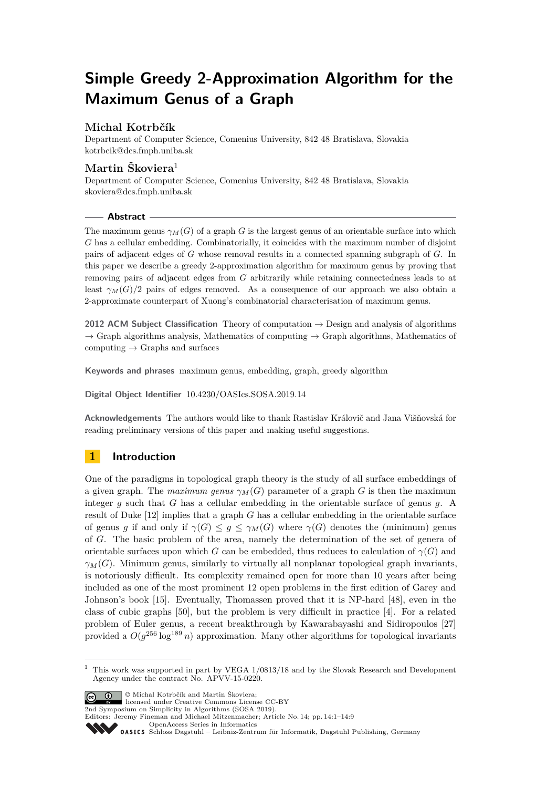# **Simple Greedy 2-Approximation Algorithm for the Maximum Genus of a Graph**

# **Michal Kotrbčík**

Department of Computer Science, Comenius University, 842 48 Bratislava, Slovakia [kotrbcik@dcs.fmph.uniba.sk](mailto:kotrbcik@dcs.fmph.uniba.sk)

# **Martin Škoviera**<sup>1</sup>

Department of Computer Science, Comenius University, 842 48 Bratislava, Slovakia [skoviera@dcs.fmph.uniba.sk](mailto:skoviera@dcs.fmph.uniba.sk)

#### **Abstract**

The maximum genus  $\gamma_M(G)$  of a graph *G* is the largest genus of an orientable surface into which *G* has a cellular embedding. Combinatorially, it coincides with the maximum number of disjoint pairs of adjacent edges of *G* whose removal results in a connected spanning subgraph of *G*. In this paper we describe a greedy 2-approximation algorithm for maximum genus by proving that removing pairs of adjacent edges from *G* arbitrarily while retaining connectedness leads to at least  $\gamma_M(G)/2$  pairs of edges removed. As a consequence of our approach we also obtain a 2-approximate counterpart of Xuong's combinatorial characterisation of maximum genus.

**2012 ACM Subject Classification** Theory of computation → Design and analysis of algorithms  $\rightarrow$  Graph algorithms analysis, Mathematics of computing  $\rightarrow$  Graph algorithms, Mathematics of computing  $\rightarrow$  Graphs and surfaces

**Keywords and phrases** maximum genus, embedding, graph, greedy algorithm

**Digital Object Identifier** [10.4230/OASIcs.SOSA.2019.14](https://doi.org/10.4230/OASIcs.SOSA.2019.14)

**Acknowledgements** The authors would like to thank Rastislav Královič and Jana Višňovská for reading preliminary versions of this paper and making useful suggestions.

# **1 Introduction**

One of the paradigms in topological graph theory is the study of all surface embeddings of a given graph. The *maximum genus*  $\gamma_M(G)$  parameter of a graph *G* is then the maximum integer *g* such that *G* has a cellular embedding in the orientable surface of genus *g*. A result of Duke [\[12\]](#page-6-0) implies that a graph *G* has a cellular embedding in the orientable surface of genus *g* if and only if  $\gamma(G) \leq g \leq \gamma_M(G)$  where  $\gamma(G)$  denotes the (minimum) genus of *G*. The basic problem of the area, namely the determination of the set of genera of orientable surfaces upon which *G* can be embedded, thus reduces to calculation of  $\gamma(G)$  and  $\gamma_M(G)$ . Minimum genus, similarly to virtually all nonplanar topological graph invariants, is notoriously difficult. Its complexity remained open for more than 10 years after being included as one of the most prominent 12 open problems in the first edition of Garey and Johnson's book [\[15\]](#page-6-1). Eventually, Thomassen proved that it is NP-hard [\[48\]](#page-7-0), even in the class of cubic graphs [\[50\]](#page-8-0), but the problem is very difficult in practice [\[4\]](#page-5-0). For a related problem of Euler genus, a recent breakthrough by Kawarabayashi and Sidiropoulos [\[27\]](#page-7-1) provided a  $O(g^{256} \log^{189} n)$  approximation. Many other algorithms for topological invariants

© Michal Kotrbčík and Martin Škoviera; licensed under Creative Commons License CC-BY

2nd Symposium on Simplicity in Algorithms (SOSA 2019).

Editors: Jeremy Fineman and Michael Mitzenmacher; Article No. 14; pp. 14:1–14[:9](#page-8-1)

[OpenAccess Series in Informatics](http://www.dagstuhl.de/oasics/)

 $1$  This work was supported in part by VEGA  $1/0813/18$  and by the Slovak Research and Development Agency under the contract No. APVV-15-0220.

[Schloss Dagstuhl – Leibniz-Zentrum für Informatik, Dagstuhl Publishing, Germany](http://www.dagstuhl.de)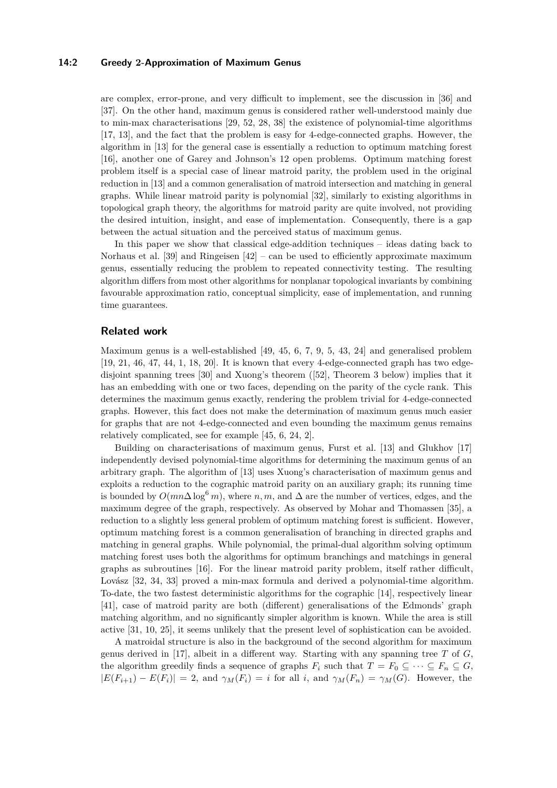#### **14:2 Greedy 2-Approximation of Maximum Genus**

are complex, error-prone, and very difficult to implement, see the discussion in [\[36\]](#page-7-2) and [\[37\]](#page-7-3). On the other hand, maximum genus is considered rather well-understood mainly due to min-max characterisations [\[29,](#page-7-4) [52,](#page-8-2) [28,](#page-7-5) [38\]](#page-7-6) the existence of polynomial-time algorithms [\[17,](#page-6-2) [13\]](#page-6-3), and the fact that the problem is easy for 4-edge-connected graphs. However, the algorithm in [\[13\]](#page-6-3) for the general case is essentially a reduction to optimum matching forest [\[16\]](#page-6-4), another one of Garey and Johnson's 12 open problems. Optimum matching forest problem itself is a special case of linear matroid parity, the problem used in the original reduction in [\[13\]](#page-6-3) and a common generalisation of matroid intersection and matching in general graphs. While linear matroid parity is polynomial [\[32\]](#page-7-7), similarly to existing algorithms in topological graph theory, the algorithms for matroid parity are quite involved, not providing the desired intuition, insight, and ease of implementation. Consequently, there is a gap between the actual situation and the perceived status of maximum genus.

In this paper we show that classical edge-addition techniques – ideas dating back to Norhaus et al. [\[39\]](#page-7-8) and Ringeisen  $[42]$  – can be used to efficiently approximate maximum genus, essentially reducing the problem to repeated connectivity testing. The resulting algorithm differs from most other algorithms for nonplanar topological invariants by combining favourable approximation ratio, conceptual simplicity, ease of implementation, and running time guarantees.

## **Related work**

Maximum genus is a well-established [\[49,](#page-8-3) [45,](#page-7-10) [6,](#page-6-5) [7,](#page-6-6) [9,](#page-6-7) [5,](#page-6-8) [43,](#page-7-11) [24\]](#page-6-9) and generalised problem [\[19,](#page-6-10) [21,](#page-6-11) [46,](#page-7-12) [47,](#page-7-13) [44,](#page-7-14) [1,](#page-5-1) [18,](#page-6-12) [20\]](#page-6-13). It is known that every 4-edge-connected graph has two edgedisjoint spanning trees [\[30\]](#page-7-15) and Xuong's theorem ([\[52\]](#page-8-2), Theorem [3](#page-3-0) below) implies that it has an embedding with one or two faces, depending on the parity of the cycle rank. This determines the maximum genus exactly, rendering the problem trivial for 4-edge-connected graphs. However, this fact does not make the determination of maximum genus much easier for graphs that are not 4-edge-connected and even bounding the maximum genus remains relatively complicated, see for example [\[45,](#page-7-10) [6,](#page-6-5) [24,](#page-6-9) [2\]](#page-5-2).

Building on characterisations of maximum genus, Furst et al. [\[13\]](#page-6-3) and Glukhov [\[17\]](#page-6-2) independently devised polynomial-time algorithms for determining the maximum genus of an arbitrary graph. The algorithm of [\[13\]](#page-6-3) uses Xuong's characterisation of maximum genus and exploits a reduction to the cographic matroid parity on an auxiliary graph; its running time is bounded by  $O(mn\Delta \log^6 m)$ , where *n, m,* and  $\Delta$  are the number of vertices, edges, and the maximum degree of the graph, respectively. As observed by Mohar and Thomassen [\[35\]](#page-7-16), a reduction to a slightly less general problem of optimum matching forest is sufficient. However, optimum matching forest is a common generalisation of branching in directed graphs and matching in general graphs. While polynomial, the primal-dual algorithm solving optimum matching forest uses both the algorithms for optimum branchings and matchings in general graphs as subroutines [\[16\]](#page-6-4). For the linear matroid parity problem, itself rather difficult, Lovász [\[32,](#page-7-7) [34,](#page-7-17) [33\]](#page-7-18) proved a min-max formula and derived a polynomial-time algorithm. To-date, the two fastest deterministic algorithms for the cographic [\[14\]](#page-6-14), respectively linear [\[41\]](#page-7-19), case of matroid parity are both (different) generalisations of the Edmonds' graph matching algorithm, and no significantly simpler algorithm is known. While the area is still active [\[31,](#page-7-20) [10,](#page-6-15) [25\]](#page-6-16), it seems unlikely that the present level of sophistication can be avoided.

A matroidal structure is also in the background of the second algorithm for maximum genus derived in [\[17\]](#page-6-2), albeit in a different way. Starting with any spanning tree *T* of *G*, the algorithm greedily finds a sequence of graphs  $F_i$  such that  $T = F_0 \subseteq \cdots \subseteq F_n \subseteq G$ ,  $|E(F_{i+1}) - E(F_i)| = 2$ , and  $\gamma_M(F_i) = i$  for all *i*, and  $\gamma_M(F_n) = \gamma_M(G)$ . However, the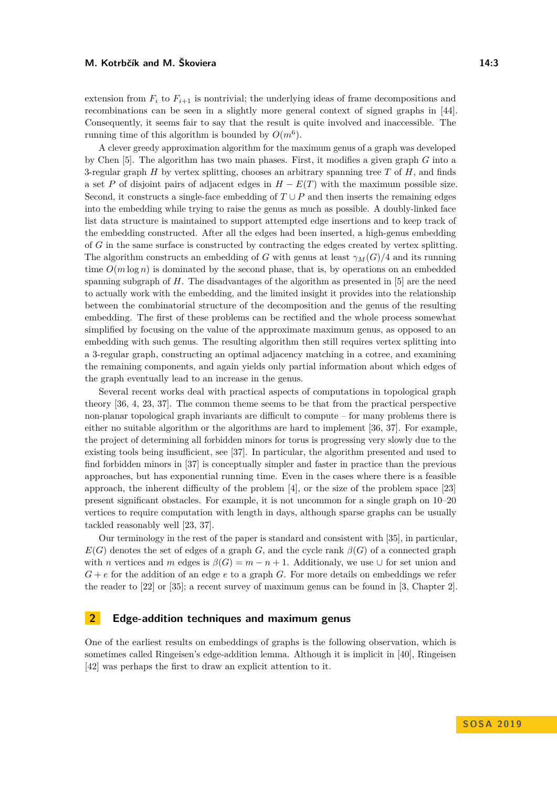extension from  $F_i$  to  $F_{i+1}$  is nontrivial; the underlying ideas of frame decompositions and recombinations can be seen in a slightly more general context of signed graphs in [\[44\]](#page-7-14). Consequently, it seems fair to say that the result is quite involved and inaccessible. The running time of this algorithm is bounded by  $O(m^6)$ .

A clever greedy approximation algorithm for the maximum genus of a graph was developed by Chen [\[5\]](#page-6-8). The algorithm has two main phases. First, it modifies a given graph *G* into a 3-regular graph *H* by vertex splitting, chooses an arbitrary spanning tree *T* of *H*, and finds a set *P* of disjoint pairs of adjacent edges in  $H - E(T)$  with the maximum possible size. Second, it constructs a single-face embedding of  $T \cup P$  and then inserts the remaining edges into the embedding while trying to raise the genus as much as possible. A doubly-linked face list data structure is maintained to support attempted edge insertions and to keep track of the embedding constructed. After all the edges had been inserted, a high-genus embedding of *G* in the same surface is constructed by contracting the edges created by vertex splitting. The algorithm constructs an embedding of *G* with genus at least  $\gamma_M(G)/4$  and its running time  $O(m \log n)$  is dominated by the second phase, that is, by operations on an embedded spanning subgraph of *H*. The disadvantages of the algorithm as presented in [\[5\]](#page-6-8) are the need to actually work with the embedding, and the limited insight it provides into the relationship between the combinatorial structure of the decomposition and the genus of the resulting embedding. The first of these problems can be rectified and the whole process somewhat simplified by focusing on the value of the approximate maximum genus, as opposed to an embedding with such genus. The resulting algorithm then still requires vertex splitting into a 3-regular graph, constructing an optimal adjacency matching in a cotree, and examining the remaining components, and again yields only partial information about which edges of the graph eventually lead to an increase in the genus.

Several recent works deal with practical aspects of computations in topological graph theory [\[36,](#page-7-2) [4,](#page-5-0) [23,](#page-6-17) [37\]](#page-7-3). The common theme seems to be that from the practical perspective non-planar topological graph invariants are difficult to compute – for many problems there is either no suitable algorithm or the algorithms are hard to implement [\[36,](#page-7-2) [37\]](#page-7-3). For example, the project of determining all forbidden minors for torus is progressing very slowly due to the existing tools being insufficient, see [\[37\]](#page-7-3). In particular, the algorithm presented and used to find forbidden minors in [\[37\]](#page-7-3) is conceptually simpler and faster in practice than the previous approaches, but has exponential running time. Even in the cases where there is a feasible approach, the inherent difficulty of the problem [\[4\]](#page-5-0), or the size of the problem space [\[23\]](#page-6-17) present significant obstacles. For example, it is not uncommon for a single graph on 10–20 vertices to require computation with length in days, although sparse graphs can be usually tackled reasonably well [\[23,](#page-6-17) [37\]](#page-7-3).

Our terminology in the rest of the paper is standard and consistent with [\[35\]](#page-7-16), in particular,  $E(G)$  denotes the set of edges of a graph *G*, and the cycle rank  $\beta(G)$  of a connected graph with *n* vertices and *m* edges is  $\beta(G) = m - n + 1$ . Additionaly, we use  $\cup$  for set union and *G* + *e* for the addition of an edge *e* to a graph *G*. For more details on embeddings we refer the reader to [\[22\]](#page-6-18) or [\[35\]](#page-7-16); a recent survey of maximum genus can be found in [\[3,](#page-5-3) Chapter 2].

### **2 Edge-addition techniques and maximum genus**

One of the earliest results on embeddings of graphs is the following observation, which is sometimes called Ringeisen's edge-addition lemma. Although it is implicit in [\[40\]](#page-7-21), Ringeisen [\[42\]](#page-7-9) was perhaps the first to draw an explicit attention to it.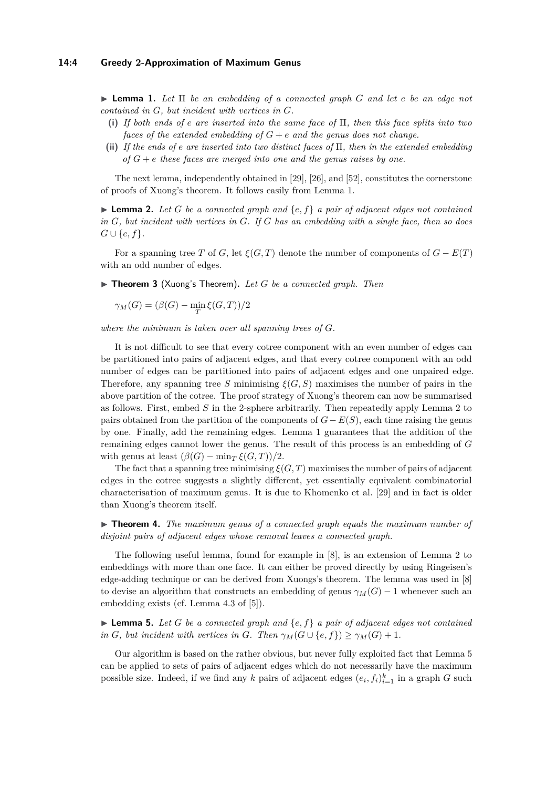#### **14:4 Greedy 2-Approximation of Maximum Genus**

<span id="page-3-1"></span>I **Lemma 1.** *Let* Π *be an embedding of a connected graph G and let e be an edge not contained in G, but incident with vertices in G.*

- **(i)** *If both ends of e are inserted into the same face of* Π*, then this face splits into two faces of the extended embedding of*  $G + e$  *and the genus does not change.*
- **(ii)** *If the ends of e are inserted into two distinct faces of* Π*, then in the extended embedding*  $\alpha$   $\beta$   $\beta$  +  $\epsilon$  *these faces are merged into one and the genus raises by one.*

The next lemma, independently obtained in [\[29\]](#page-7-4), [\[26\]](#page-7-22), and [\[52\]](#page-8-2), constitutes the cornerstone of proofs of Xuong's theorem. It follows easily from Lemma [1.](#page-3-1)

<span id="page-3-2"></span>**Lemma 2.** Let *G* be a connected graph and  $\{e, f\}$  a pair of adjacent edges not contained *in G, but incident with vertices in G. If G has an embedding with a single face, then so does G* ∪ { $e, f$  }.

For a spanning tree *T* of *G*, let  $\xi(G,T)$  denote the number of components of  $G - E(T)$ with an odd number of edges.

<span id="page-3-0"></span>■ Theorem 3 (Xuong's Theorem). Let *G* be a connected graph. Then

 $\gamma_M(G) = (\beta(G) - \min_T \xi(G, T))/2$ 

*where the minimum is taken over all spanning trees of G.*

It is not difficult to see that every cotree component with an even number of edges can be partitioned into pairs of adjacent edges, and that every cotree component with an odd number of edges can be partitioned into pairs of adjacent edges and one unpaired edge. Therefore, any spanning tree *S* minimising  $\xi(G, S)$  maximises the number of pairs in the above partition of the cotree. The proof strategy of Xuong's theorem can now be summarised as follows. First, embed *S* in the 2-sphere arbitrarily. Then repeatedly apply Lemma [2](#page-3-2) to pairs obtained from the partition of the components of  $G - E(S)$ , each time raising the genus by one. Finally, add the remaining edges. Lemma [1](#page-3-1) guarantees that the addition of the remaining edges cannot lower the genus. The result of this process is an embedding of *G* with genus at least  $(\beta(G) - \min_{T} \xi(G, T))/2$ .

The fact that a spanning tree minimising  $\xi(G, T)$  maximises the number of pairs of adjacent edges in the cotree suggests a slightly different, yet essentially equivalent combinatorial characterisation of maximum genus. It is due to Khomenko et al. [\[29\]](#page-7-4) and in fact is older than Xuong's theorem itself.

<span id="page-3-4"></span>I **Theorem 4.** *The maximum genus of a connected graph equals the maximum number of disjoint pairs of adjacent edges whose removal leaves a connected graph.*

The following useful lemma, found for example in [\[8\]](#page-6-19), is an extension of Lemma [2](#page-3-2) to embeddings with more than one face. It can either be proved directly by using Ringeisen's edge-adding technique or can be derived from Xuongs's theorem. The lemma was used in [\[8\]](#page-6-19) to devise an algorithm that constructs an embedding of genus  $\gamma_M(G) - 1$  whenever such an embedding exists (cf. Lemma 4.3 of [\[5\]](#page-6-8)).

<span id="page-3-3"></span> $\blacktriangleright$  **Lemma 5.** Let *G* be a connected graph and  $\{e, f\}$  a pair of adjacent edges not contained *in G, but incident with vertices in G. Then*  $\gamma_M(G \cup \{e, f\}) \geq \gamma_M(G) + 1$ *.* 

Our algorithm is based on the rather obvious, but never fully exploited fact that Lemma [5](#page-3-3) can be applied to sets of pairs of adjacent edges which do not necessarily have the maximum possible size. Indeed, if we find any *k* pairs of adjacent edges  $(e_i, f_i)_{i=1}^k$  in a graph *G* such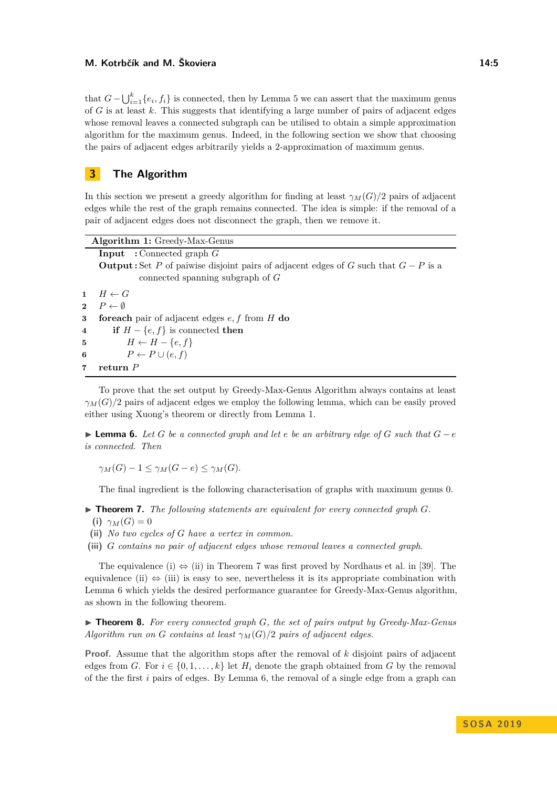#### **M. Kotrbčík and M. Škoviera 14:5**

that  $G - \bigcup_{i=1}^{k} \{e_i, f_i\}$  is connected, then by Lemma [5](#page-3-3) we can assert that the maximum genus of *G* is at least *k*. This suggests that identifying a large number of pairs of adjacent edges whose removal leaves a connected subgraph can be utilised to obtain a simple approximation algorithm for the maximum genus. Indeed, in the following section we show that choosing the pairs of adjacent edges arbitrarily yields a 2-approximation of maximum genus.

# **3 The Algorithm**

In this section we present a greedy algorithm for finding at least  $\gamma_M(G)/2$  pairs of adjacent edges while the rest of the graph remains connected. The idea is simple: if the removal of a pair of adjacent edges does not disconnect the graph, then we remove it.

|   | <b>Algorithm 1:</b> Greedy-Max-Genus                                                         |
|---|----------------------------------------------------------------------------------------------|
|   | <b>Input</b> : Connected graph $G$                                                           |
|   | <b>Output:</b> Set P of paiwise disjoint pairs of adjacent edges of G such that $G - P$ is a |
|   | connected spanning subgraph of $G$                                                           |
|   | $1 \quad H \leftarrow G$                                                                     |
|   | 2 $P \leftarrow \emptyset$                                                                   |
| 3 | <b>for each</b> pair of adjacent edges $e, f$ from H do                                      |
| 4 | <b>if</b> $H - \{e, f\}$ is connected <b>then</b>                                            |
|   | $H \leftarrow H - \{e, f\}$<br>$5\degree$                                                    |
| 6 | $P \leftarrow P \cup (e, f)$                                                                 |
| 7 | return $P$                                                                                   |
|   |                                                                                              |

To prove that the set output by Greedy-Max-Genus Algorithm always contains at least  $\gamma_M(G)/2$  pairs of adjacent edges we employ the following lemma, which can be easily proved either using Xuong's theorem or directly from Lemma [1.](#page-3-1)

<span id="page-4-1"></span> $\blacktriangleright$  **Lemma 6.** *Let G be a connected graph and let <i>e be an arbitrary edge of G such that*  $G - e$ *is connected. Then*

*γ*<sub>*M*</sub>(*G*) − 1 < *γ*<sub>*M*</sub>(*G* − *e*) < *γ*<sub>*M*</sub>(*G*)*.* 

The final ingredient is the following characterisation of graphs with maximum genus 0.

- <span id="page-4-0"></span> $\blacktriangleright$  **Theorem 7.** The following statements are equivalent for every connected graph  $G$ .
	- **(i)**  $\gamma_M(G) = 0$
- **(ii)** *No two cycles of G have a vertex in common.*
- **(iii)** *G contains no pair of adjacent edges whose removal leaves a connected graph.*

The equivalence (i)  $\Leftrightarrow$  (ii) in Theorem [7](#page-4-0) was first proved by Nordhaus et al. in [\[39\]](#page-7-8). The equivalence (ii)  $\Leftrightarrow$  (iii) is easy to see, nevertheless it is its appropriate combination with Lemma [6](#page-4-1) which yields the desired performance guarantee for Greedy-Max-Genus algorithm, as shown in the following theorem.

<span id="page-4-2"></span>▶ **Theorem 8.** For every connected graph *G*, the set of pairs output by Greedy-Max-Genus *Algorithm run on G contains at least*  $\gamma_M(G)/2$  *pairs of adjacent edges.* 

**Proof.** Assume that the algorithm stops after the removal of *k* disjoint pairs of adjacent edges from *G*. For  $i \in \{0, 1, \ldots, k\}$  let  $H_i$  denote the graph obtained from *G* by the removal of the the first *i* pairs of edges. By Lemma [6,](#page-4-1) the removal of a single edge from a graph can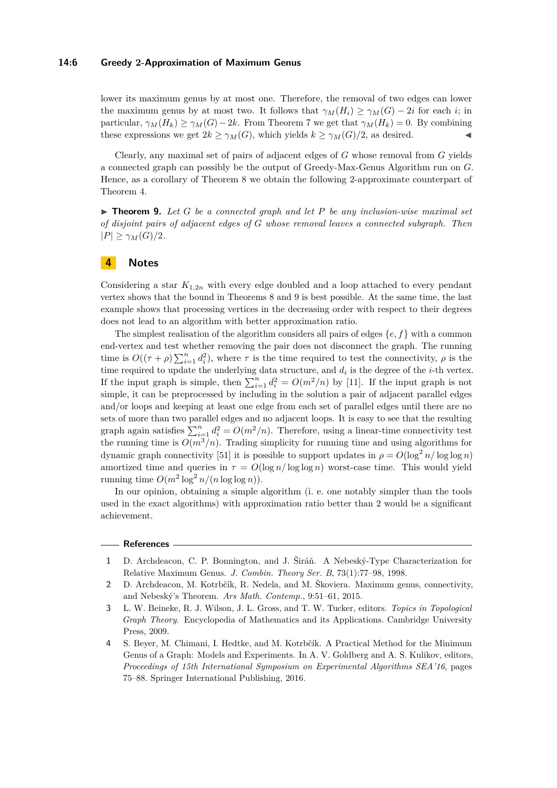#### **14:6 Greedy 2-Approximation of Maximum Genus**

lower its maximum genus by at most one. Therefore, the removal of two edges can lower the maximum genus by at most two. It follows that  $\gamma_M(H_i) \geq \gamma_M(G) - 2i$  for each *i*; in particular,  $\gamma_M(H_k) \geq \gamma_M(G) - 2k$ . From Theorem [7](#page-4-0) we get that  $\gamma_M(H_k) = 0$ . By combining these expressions we get  $2k \geq \gamma_M(G)$ , which yields  $k \geq \gamma_M(G)/2$ , as desired.

Clearly, any maximal set of pairs of adjacent edges of *G* whose removal from *G* yields a connected graph can possibly be the output of Greedy-Max-Genus Algorithm run on *G*. Hence, as a corollary of Theorem [8](#page-4-2) we obtain the following 2-approximate counterpart of Theorem [4.](#page-3-4)

<span id="page-5-4"></span> $\triangleright$  **Theorem 9.** Let *G* be a connected graph and let *P* be any inclusion-wise maximal set *of disjoint pairs of adjacent edges of G whose removal leaves a connected subgraph. Then*  $|P| \ge \gamma_M(G)/2$ *.* 

## **4 Notes**

Considering a star  $K_{1,2n}$  with every edge doubled and a loop attached to every pendant vertex shows that the bound in Theorems [8](#page-4-2) and [9](#page-5-4) is best possible. At the same time, the last example shows that processing vertices in the decreasing order with respect to their degrees does not lead to an algorithm with better approximation ratio.

The simplest realisation of the algorithm considers all pairs of edges {*e, f*} with a common end-vertex and test whether removing the pair does not disconnect the graph. The running time is  $O((\tau + \rho) \sum_{i=1}^n d_i^2)$ , where  $\tau$  is the time required to test the connectivity,  $\rho$  is the time required to update the underlying data structure, and *d<sup>i</sup>* is the degree of the *i*-th vertex. If the input graph is simple, then  $\sum_{i=1}^{n} d_i^2 = O(m^2/n)$  by [\[11\]](#page-6-20). If the input graph is not simple, it can be preprocessed by including in the solution a pair of adjacent parallel edges and/or loops and keeping at least one edge from each set of parallel edges until there are no sets of more than two parallel edges and no adjacent loops. It is easy to see that the resulting graph again satisfies  $\sum_{i=1}^{n} d_i^2 = O(m^2/n)$ . Therefore, using a linear-time connectivity test the running time is  $O(m^3/n)$ . Trading simplicity for running time and using algorithms for dynamic graph connectivity [\[51\]](#page-8-4) it is possible to support updates in  $\rho = O(\log^2 n / \log \log n)$ amortized time and queries in  $\tau = O(\log n / \log \log n)$  worst-case time. This would yield running time  $O(m^2 \log^2 n/(n \log \log n)).$ 

In our opinion, obtaining a simple algorithm (i. e. one notably simpler than the tools used in the exact algorithms) with approximation ratio better than 2 would be a significant achievement.

#### **References**

- <span id="page-5-1"></span>**1** D. Archdeacon, C. P. Bonnington, and J. Širáň. A Nebeský-Type Characterization for Relative Maximum Genus. *J. Combin. Theory Ser. B*, 73(1):77–98, 1998.
- <span id="page-5-2"></span>**2** D. Archdeacon, M. Kotrbčík, R. Nedela, and M. Škoviera. Maximum genus, connectivity, and Nebeský's Theorem. *Ars Math. Contemp.*, 9:51–61, 2015.
- <span id="page-5-3"></span>**3** L. W. Beineke, R. J. Wilson, J. L. Gross, and T. W. Tucker, editors. *Topics in Topological Graph Theory*. Encyclopedia of Mathematics and its Applications. Cambridge University Press, 2009.
- <span id="page-5-0"></span>**4** S. Beyer, M. Chimani, I. Hedtke, and M. Kotrbčík. A Practical Method for the Minimum Genus of a Graph: Models and Experiments. In A. V. Goldberg and A. S. Kulikov, editors, *Proceedings of 15th International Symposium on Experimental Algorithms SEA'16*, pages 75–88. Springer International Publishing, 2016.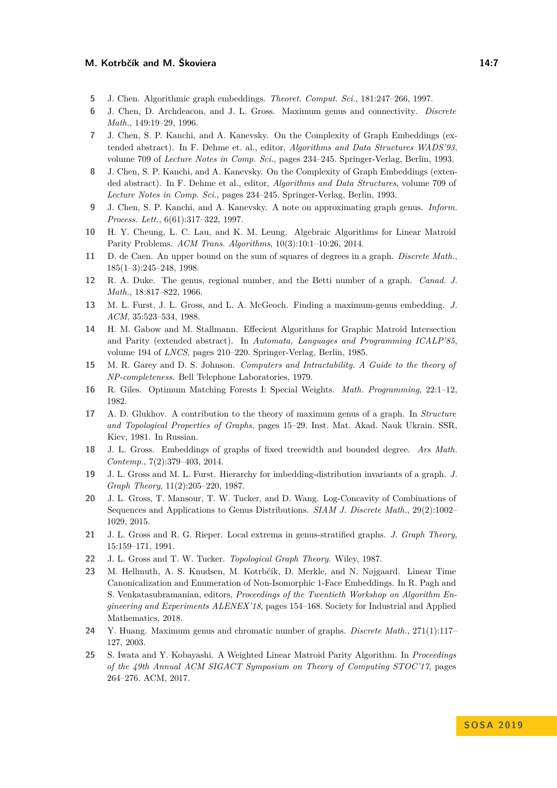#### **M. Kotrbčík and M. Škoviera 14:7**

- <span id="page-6-8"></span>**5** J. Chen. Algorithmic graph embeddings. *Theoret. Comput. Sci.*, 181:247–266, 1997.
- <span id="page-6-5"></span>**6** J. Chen, D. Archdeacon, and J. L. Gross. Maximum genus and connectivity. *Discrete Math.*, 149:19–29, 1996.
- <span id="page-6-6"></span>**7** J. Chen, S. P. Kanchi, and A. Kanevsky. On the Complexity of Graph Embeddings (extended abstract). In F. Dehme et. al., editor, *Algorithms and Data Structures WADS'93*, volume 709 of *Lecture Notes in Comp. Sci.*, pages 234–245. Springer-Verlag, Berlin, 1993.
- <span id="page-6-19"></span>**8** J. Chen, S. P. Kanchi, and A. Kanevsky. On the Complexity of Graph Embeddings (extended abstract). In F. Dehme et al., editor, *Algorithms and Data Structures*, volume 709 of *Lecture Notes in Comp. Sci.*, pages 234–245. Springer-Verlag, Berlin, 1993.
- <span id="page-6-7"></span>**9** J. Chen, S. P. Kanchi, and A. Kanevsky. A note on approximating graph genus. *Inform. Process. Lett.*, 6(61):317–322, 1997.
- <span id="page-6-15"></span>**10** H. Y. Cheung, L. C. Lau, and K. M. Leung. Algebraic Algorithms for Linear Matroid Parity Problems. *ACM Trans. Algorithms*, 10(3):10:1–10:26, 2014.
- <span id="page-6-20"></span>**11** D. de Caen. An upper bound on the sum of squares of degrees in a graph. *Discrete Math.*, 185(1–3):245–248, 1998.
- <span id="page-6-0"></span>**12** R. A. Duke. The genus, regional number, and the Betti number of a graph. *Canad. J. Math.*, 18:817–822, 1966.
- <span id="page-6-3"></span>**13** M. L. Furst, J. L. Gross, and L. A. McGeoch. Finding a maximum-genus embedding. *J. ACM*, 35:523–534, 1988.
- <span id="page-6-14"></span>**14** H. M. Gabow and M. Stallmann. Effecient Algorithms for Graphic Matroid Intersection and Parity (extended abstract). In *Automata, Languages and Programming ICALP'85*, volume 194 of *LNCS*, pages 210–220. Springer-Verlag, Berlin, 1985.
- <span id="page-6-1"></span>**15** M. R. Garey and D. S. Johnson. *Computers and Intractability. A Guide to the theory of NP-completeness*. Bell Telephone Laboratories, 1979.
- <span id="page-6-4"></span>**16** R. Giles. Optimum Matching Forests I: Special Weights. *Math. Programming*, 22:1–12, 1982.
- <span id="page-6-2"></span>**17** A. D. Glukhov. A contribution to the theory of maximum genus of a graph. In *Structure and Topological Properties of Graphs*, pages 15–29. Inst. Mat. Akad. Nauk Ukrain. SSR, Kiev, 1981. In Russian.
- <span id="page-6-12"></span>**18** J. L. Gross. Embeddings of graphs of fixed treewidth and bounded degree. *Ars Math. Contemp.*, 7(2):379–403, 2014.
- <span id="page-6-10"></span>**19** J. L. Gross and M. L. Furst. Hierarchy for imbedding-distribution invariants of a graph. *J. Graph Theory*, 11(2):205–220, 1987.
- <span id="page-6-13"></span>**20** J. L. Gross, T. Mansour, T. W. Tucker, and D. Wang. Log-Concavity of Combinations of Sequences and Applications to Genus Distributions. *SIAM J. Discrete Math.*, 29(2):1002– 1029, 2015.
- <span id="page-6-11"></span>**21** J. L. Gross and R. G. Rieper. Local extrema in genus-stratified graphs. *J. Graph Theory*, 15:159–171, 1991.
- <span id="page-6-18"></span>**22** J. L. Gross and T. W. Tucker. *Topological Graph Theory*. Wiley, 1987.
- <span id="page-6-17"></span>**23** M. Hellmuth, A. S. Knudsen, M. Kotrbčík, D. Merkle, and N. Nøjgaard. Linear Time Canonicalization and Enumeration of Non-Isomorphic 1-Face Embeddings. In R. Pagh and S. Venkatasubramanian, editors, *Proceedings of the Twentieth Workshop on Algorithm Engineering and Experiments ALENEX'18*, pages 154–168. Society for Industrial and Applied Mathematics, 2018.
- <span id="page-6-9"></span>**24** Y. Huang. Maximum genus and chromatic number of graphs. *Discrete Math.*, 271(1):117– 127, 2003.
- <span id="page-6-16"></span>**25** S. Iwata and Y. Kobayashi. A Weighted Linear Matroid Parity Algorithm. In *Proceedings of the 49th Annual ACM SIGACT Symposium on Theory of Computing STOC'17*, pages 264–276. ACM, 2017.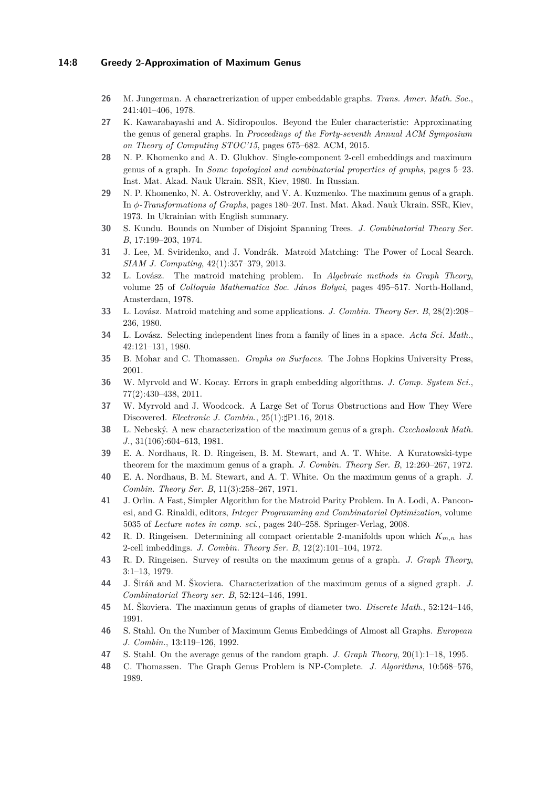#### **14:8 Greedy 2-Approximation of Maximum Genus**

- <span id="page-7-22"></span>**26** M. Jungerman. A charactrerization of upper embeddable graphs. *Trans. Amer. Math. Soc.*, 241:401–406, 1978.
- <span id="page-7-1"></span>**27** K. Kawarabayashi and A. Sidiropoulos. Beyond the Euler characteristic: Approximating the genus of general graphs. In *Proceedings of the Forty-seventh Annual ACM Symposium on Theory of Computing STOC'15*, pages 675–682. ACM, 2015.
- <span id="page-7-5"></span>**28** N. P. Khomenko and A. D. Glukhov. Single-component 2-cell embeddings and maximum genus of a graph. In *Some topological and combinatorial properties of graphs*, pages 5–23. Inst. Mat. Akad. Nauk Ukrain. SSR, Kiev, 1980. In Russian.
- <span id="page-7-4"></span>**29** N. P. Khomenko, N. A. Ostroverkhy, and V. A. Kuzmenko. The maximum genus of a graph. In *φ-Transformations of Graphs*, pages 180–207. Inst. Mat. Akad. Nauk Ukrain. SSR, Kiev, 1973. In Ukrainian with English summary.
- <span id="page-7-15"></span>**30** S. Kundu. Bounds on Number of Disjoint Spanning Trees. *J. Combinatorial Theory Ser. B*, 17:199–203, 1974.
- <span id="page-7-20"></span>**31** J. Lee, M. Sviridenko, and J. Vondrák. Matroid Matching: The Power of Local Search. *SIAM J. Computing*, 42(1):357–379, 2013.
- <span id="page-7-7"></span>**32** L. Lovász. The matroid matching problem. In *Algebraic methods in Graph Theory*, volume 25 of *Colloquia Mathematica Soc. János Bolyai*, pages 495–517. North-Holland, Amsterdam, 1978.
- <span id="page-7-18"></span>**33** L. Lovász. Matroid matching and some applications. *J. Combin. Theory Ser. B*, 28(2):208– 236, 1980.
- <span id="page-7-17"></span>**34** L. Lovász. Selecting independent lines from a family of lines in a space. *Acta Sci. Math.*, 42:121–131, 1980.
- <span id="page-7-16"></span>**35** B. Mohar and C. Thomassen. *Graphs on Surfaces*. The Johns Hopkins University Press, 2001.
- <span id="page-7-2"></span>**36** W. Myrvold and W. Kocay. Errors in graph embedding algorithms. *J. Comp. System Sci.*, 77(2):430–438, 2011.
- <span id="page-7-3"></span>**37** W. Myrvold and J. Woodcock. A Large Set of Torus Obstructions and How They Were Discovered. *Electronic J. Combin.*, 25(1):*]*P1.16, 2018.
- <span id="page-7-6"></span>**38** L. Nebeský. A new characterization of the maximum genus of a graph. *Czechoslovak Math. J.*, 31(106):604–613, 1981.
- <span id="page-7-8"></span>**39** E. A. Nordhaus, R. D. Ringeisen, B. M. Stewart, and A. T. White. A Kuratowski-type theorem for the maximum genus of a graph. *J. Combin. Theory Ser. B*, 12:260–267, 1972.
- <span id="page-7-21"></span>**40** E. A. Nordhaus, B. M. Stewart, and A. T. White. On the maximum genus of a graph. *J. Combin. Theory Ser. B*, 11(3):258–267, 1971.
- <span id="page-7-19"></span>**41** J. Orlin. A Fast, Simpler Algorithm for the Matroid Parity Problem. In A. Lodi, A. Panconesi, and G. Rinaldi, editors, *Integer Programming and Combinatorial Optimization*, volume 5035 of *Lecture notes in comp. sci.*, pages 240–258. Springer-Verlag, 2008.
- <span id="page-7-9"></span>**42** R. D. Ringeisen. Determining all compact orientable 2-manifolds upon which *Km,n* has 2-cell imbeddings. *J. Combin. Theory Ser. B*, 12(2):101–104, 1972.
- <span id="page-7-11"></span>**43** R. D. Ringeisen. Survey of results on the maximum genus of a graph. *J. Graph Theory*, 3:1–13, 1979.
- <span id="page-7-14"></span>**44** J. Širáň and M. Škoviera. Characterization of the maximum genus of a signed graph. *J. Combinatorial Theory ser. B*, 52:124–146, 1991.
- <span id="page-7-10"></span>**45** M. Škoviera. The maximum genus of graphs of diameter two. *Discrete Math.*, 52:124–146, 1991.
- <span id="page-7-12"></span>**46** S. Stahl. On the Number of Maximum Genus Embeddings of Almost all Graphs. *European J. Combin.*, 13:119–126, 1992.
- <span id="page-7-13"></span>**47** S. Stahl. On the average genus of the random graph. *J. Graph Theory*, 20(1):1–18, 1995.
- <span id="page-7-0"></span>**48** C. Thomassen. The Graph Genus Problem is NP-Complete. *J. Algorithms*, 10:568–576, 1989.